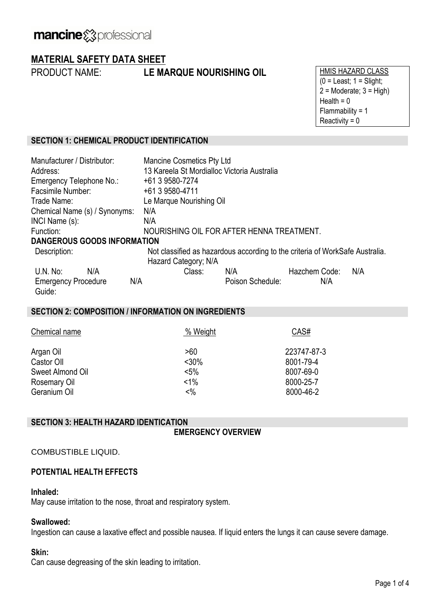# **MATERIAL SAFETY DATA SHEET**

PRODUCT NAME: **LE MARQUE NOURISHING OIL** HMIS HAZARD CLASS

 $(0 =$  Least;  $1 =$  Slight;  $2 =$ Moderate;  $3 =$ High) Health  $= 0$ Flammability = 1 Reactivity  $= 0$ 

#### **SECTION 1: CHEMICAL PRODUCT IDENTIFICATION**

| Manufacturer / Distributor:<br>Address: | <b>Mancine Cosmetics Pty Ltd</b><br>13 Kareela St Mordialloc Victoria Australia                      |                  |               |     |  |
|-----------------------------------------|------------------------------------------------------------------------------------------------------|------------------|---------------|-----|--|
| Emergency Telephone No.:                | +61 3 9580-7274                                                                                      |                  |               |     |  |
| Facsimile Number:                       | +61 3 9580-4711                                                                                      |                  |               |     |  |
| Trade Name:                             | Le Marque Nourishing Oil                                                                             |                  |               |     |  |
| Chemical Name (s) / Synonyms:           | N/A                                                                                                  |                  |               |     |  |
| INCI Name (s):                          | N/A                                                                                                  |                  |               |     |  |
| Function:                               | NOURISHING OIL FOR AFTER HENNA TREATMENT.                                                            |                  |               |     |  |
| <b>DANGEROUS GOODS INFORMATION</b>      |                                                                                                      |                  |               |     |  |
| Description:                            | Not classified as hazardous according to the criteria of WorkSafe Australia.<br>Hazard Category; N/A |                  |               |     |  |
| $U.N.$ No:<br>N/A                       | Class:                                                                                               | N/A              | Hazchem Code: | N/A |  |
| N/A<br><b>Emergency Procedure</b>       |                                                                                                      | Poison Schedule: | N/A           |     |  |
| Guide:                                  |                                                                                                      |                  |               |     |  |

#### **SECTION 2: COMPOSITION / INFORMATION ON INGREDIENTS**

| Chemical name    | % Weight       | CAS#        |
|------------------|----------------|-------------|
| Argan Oil        | >60            | 223747-87-3 |
| Castor Oll       | $< 30\%$       | 8001-79-4   |
| Sweet Almond Oil | $< 5\%$        | 8007-69-0   |
| Rosemary Oil     | $< 1\%$        | 8000-25-7   |
| Geranium Oil     | $<\frac{9}{6}$ | 8000-46-2   |

#### **SECTION 3: HEALTH HAZARD IDENTICATION**

**EMERGENCY OVERVIEW**

#### COMBUSTIBLE LIQUID.

#### **POTENTIAL HEALTH EFFECTS**

#### **Inhaled:**

May cause irritation to the nose, throat and respiratory system.

#### **Swallowed:**

Ingestion can cause a laxative effect and possible nausea. If liquid enters the lungs it can cause severe damage.

#### **Skin:**

Can cause degreasing of the skin leading to irritation.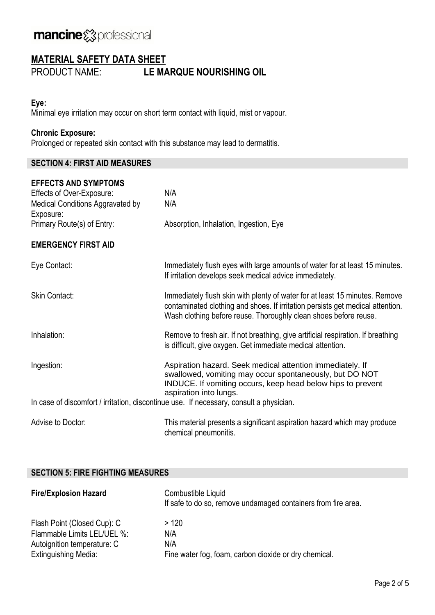# **MATERIAL SAFETY DATA SHEET**

PRODUCT NAME: **LE MARQUE NOURISHING OIL**

### **Eye:**

Minimal eye irritation may occur on short term contact with liquid, mist or vapour.

### **Chronic Exposure:**

Prolonged or repeated skin contact with this substance may lead to dermatitis.

#### **SECTION 4: FIRST AID MEASURES**

| <b>EFFECTS AND SYMPTOMS</b><br>Effects of Over-Exposure: | N/A                                                                                                                                                                                                                               |
|----------------------------------------------------------|-----------------------------------------------------------------------------------------------------------------------------------------------------------------------------------------------------------------------------------|
| Medical Conditions Aggravated by<br>Exposure:            | N/A                                                                                                                                                                                                                               |
| Primary Route(s) of Entry:                               | Absorption, Inhalation, Ingestion, Eye                                                                                                                                                                                            |
| <b>EMERGENCY FIRST AID</b>                               |                                                                                                                                                                                                                                   |
| Eye Contact:                                             | Immediately flush eyes with large amounts of water for at least 15 minutes.<br>If irritation develops seek medical advice immediately.                                                                                            |
| <b>Skin Contact:</b>                                     | Immediately flush skin with plenty of water for at least 15 minutes. Remove<br>contaminated clothing and shoes. If irritation persists get medical attention.<br>Wash clothing before reuse. Thoroughly clean shoes before reuse. |
| Inhalation:                                              | Remove to fresh air. If not breathing, give artificial respiration. If breathing<br>is difficult, give oxygen. Get immediate medical attention.                                                                                   |
| Ingestion:                                               | Aspiration hazard. Seek medical attention immediately. If<br>swallowed, vomiting may occur spontaneously, but DO NOT<br>INDUCE. If vomiting occurs, keep head below hips to prevent<br>aspiration into lungs.                     |
|                                                          | In case of discomfort / irritation, discontinue use. If necessary, consult a physician.                                                                                                                                           |
| Advise to Doctor:                                        | This material presents a significant aspiration hazard which may produce<br>chemical pneumonitis.                                                                                                                                 |

#### **SECTION 5: FIRE FIGHTING MEASURES**

| <b>Fire/Explosion Hazard</b> | Combustible Liquid<br>If safe to do so, remove undamaged containers from fire area. |
|------------------------------|-------------------------------------------------------------------------------------|
| Flash Point (Closed Cup): C  | >120                                                                                |
| Flammable Limits LEL/UEL %:  | N/A                                                                                 |
| Autoignition temperature: C  | N/A                                                                                 |
| <b>Extinguishing Media:</b>  | Fine water fog, foam, carbon dioxide or dry chemical.                               |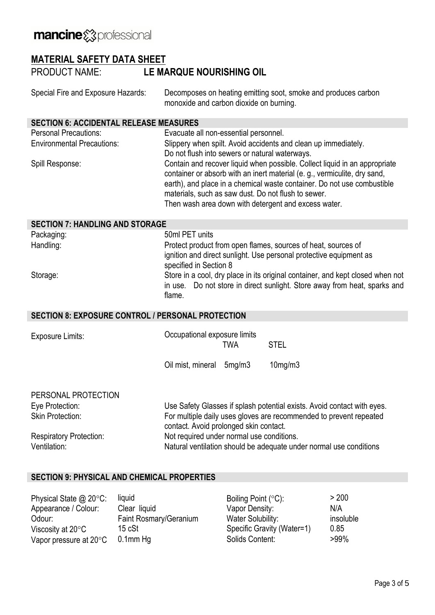# **MATERIAL SAFETY DATA SHEET**

PRODUCT NAME: **LE MARQUE NOURISHING OIL**

| Special Fire and Exposure Hazards: | Decomposes on heating emitting soot, smoke and produces carbon |
|------------------------------------|----------------------------------------------------------------|
|                                    | monoxide and carbon dioxide on burning.                        |

#### **SECTION 6: ACCIDENTAL RELEASE MEASURES**

| <b>Personal Precautions:</b>      | Evacuate all non-essential personnel.                                                                                                                                                                                                                                                                                                            |
|-----------------------------------|--------------------------------------------------------------------------------------------------------------------------------------------------------------------------------------------------------------------------------------------------------------------------------------------------------------------------------------------------|
| <b>Environmental Precautions:</b> | Slippery when spilt. Avoid accidents and clean up immediately.                                                                                                                                                                                                                                                                                   |
|                                   | Do not flush into sewers or natural waterways.                                                                                                                                                                                                                                                                                                   |
| Spill Response:                   | Contain and recover liquid when possible. Collect liquid in an appropriate<br>container or absorb with an inert material (e.g., vermiculite, dry sand,<br>earth), and place in a chemical waste container. Do not use combustible<br>materials, such as saw dust. Do not flush to sewer.<br>Then wash area down with detergent and excess water. |

| <b>SECTION 7: HANDLING AND STORAGE</b> |                                                                                                                                                                       |
|----------------------------------------|-----------------------------------------------------------------------------------------------------------------------------------------------------------------------|
| Packaging:                             | 50ml PET units                                                                                                                                                        |
| Handling:                              | Protect product from open flames, sources of heat, sources of<br>ignition and direct sunlight. Use personal protective equipment as<br>specified in Section 8         |
| Storage:                               | Store in a cool, dry place in its original container, and kept closed when not<br>in use. Do not store in direct sunlight. Store away from heat, sparks and<br>flame. |

## **SECTION 8: EXPOSURE CONTROL / PERSONAL PROTECTION**

| <b>Exposure Limits:</b>        | Occupational exposure limits<br><b>STEL</b><br>TWA                                                           |  |  |
|--------------------------------|--------------------------------------------------------------------------------------------------------------|--|--|
|                                | Oil mist, mineral<br>$10$ mg/m $3$<br>5mg/m3                                                                 |  |  |
| PERSONAL PROTECTION            |                                                                                                              |  |  |
| Eye Protection:                | Use Safety Glasses if splash potential exists. Avoid contact with eyes.                                      |  |  |
| <b>Skin Protection:</b>        | For multiple daily uses gloves are recommended to prevent repeated<br>contact. Avoid prolonged skin contact. |  |  |
| <b>Respiratory Protection:</b> | Not required under normal use conditions.                                                                    |  |  |
| Ventilation:                   | Natural ventilation should be adequate under normal use conditions                                           |  |  |

## **SECTION 9: PHYSICAL AND CHEMICAL PROPERTIES**

| Physical State $@$ 20 $°C$ :     | liquid                 | Boiling Point $(°C)$ :     | > 200     |
|----------------------------------|------------------------|----------------------------|-----------|
| Appearance / Colour:             | Clear liquid           | Vapor Density:             | N/A       |
| Odour:                           | Faint Rosmary/Geranium | Water Solubility:          | insoluble |
| Viscosity at $20^{\circ}$ C      | 15 cSt                 | Specific Gravity (Water=1) | 0.85      |
| Vapor pressure at $20^{\circ}$ C | $0.1$ mm $Hg$          | Solids Content:            | $>99\%$   |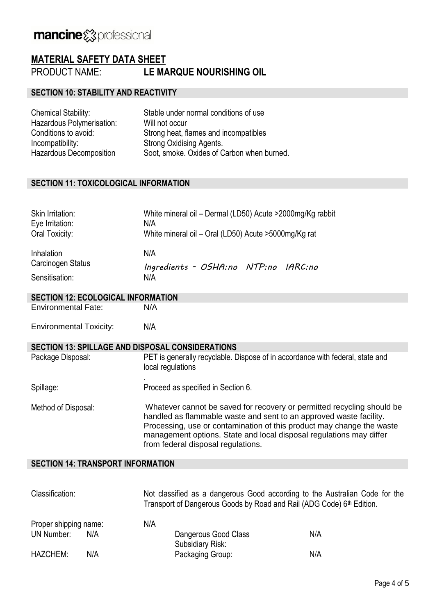## **MATERIAL SAFETY DATA SHEET**

PRODUCT NAME: **LE MARQUE NOURISHING OIL**

#### **SECTION 10: STABILITY AND REACTIVITY**

| <b>Chemical Stability:</b>     | Stable under normal conditions of use      |
|--------------------------------|--------------------------------------------|
| Hazardous Polymerisation:      | Will not occur                             |
| Conditions to avoid:           | Strong heat, flames and incompatibles      |
| Incompatibility:               | Strong Oxidising Agents.                   |
| <b>Hazardous Decomposition</b> | Soot, smoke. Oxides of Carbon when burned. |

#### **SECTION 11: TOXICOLOGICAL INFORMATION**

| Skin Irritation:<br>Eye Irritation:<br>Oral Toxicity: | White mineral oil - Dermal (LD50) Acute > 2000mg/Kg rabbit<br>N/A<br>White mineral oil - Oral (LD50) Acute > 5000mg/Kg rat |
|-------------------------------------------------------|----------------------------------------------------------------------------------------------------------------------------|
| Inhalation                                            | N/A                                                                                                                        |
| Carcinogen Status                                     | Ingredients - OSHA:no NTP:no IARC:no                                                                                       |
| Sensitisation:                                        | N/A                                                                                                                        |

#### **SECTION 12: ECOLOGICAL INFORMATION**

Environmental Fate: N/A

Environmental Toxicity: N/A

### **SECTION 13: SPILLAGE AND DISPOSAL CONSIDERATIONS**

| Package Disposal:   | PET is generally recyclable. Dispose of in accordance with federal, state and<br>local regulations                                                                                                                                                                                                                                 |
|---------------------|------------------------------------------------------------------------------------------------------------------------------------------------------------------------------------------------------------------------------------------------------------------------------------------------------------------------------------|
| Spillage:           | Proceed as specified in Section 6.                                                                                                                                                                                                                                                                                                 |
| Method of Disposal: | Whatever cannot be saved for recovery or permitted recycling should be<br>handled as flammable waste and sent to an approved waste facility.<br>Processing, use or contamination of this product may change the waste<br>management options. State and local disposal regulations may differ<br>from federal disposal regulations. |

#### **SECTION 14: TRANSPORT INFORMATION**

| Classification:       |     | Not classified as a dangerous Good according to the Australian Code for the<br>Transport of Dangerous Goods by Road and Rail (ADG Code) 6 <sup>th</sup> Edition. |                                          |     |
|-----------------------|-----|------------------------------------------------------------------------------------------------------------------------------------------------------------------|------------------------------------------|-----|
| Proper shipping name: |     | N/A                                                                                                                                                              |                                          |     |
| UN Number:            | N/A |                                                                                                                                                                  | Dangerous Good Class<br>Subsidiary Risk: | N/A |
| <b>HAZCHEM:</b>       | N/A |                                                                                                                                                                  | Packaging Group:                         | N/A |